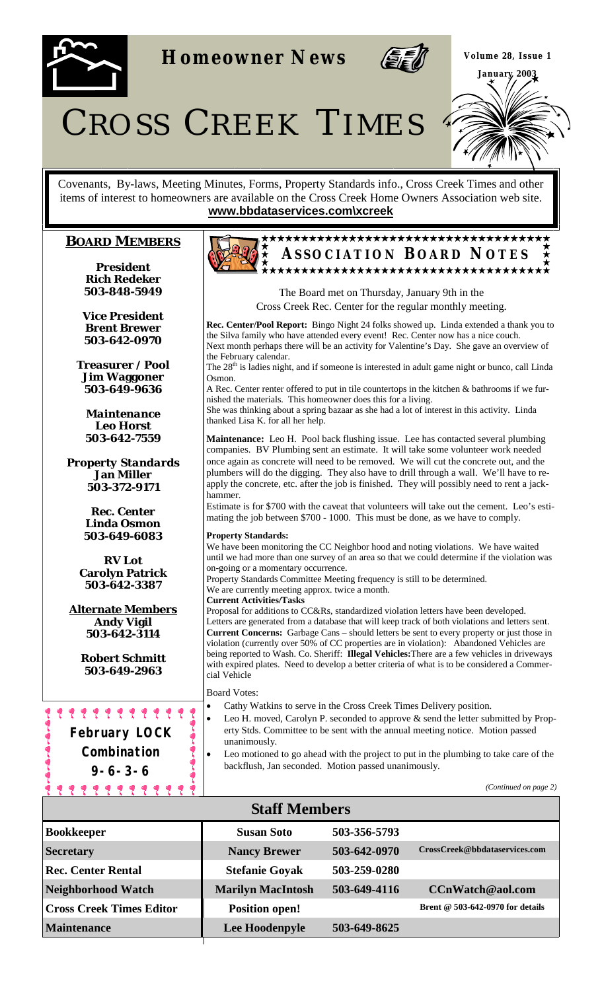

**Homeowner News** 



**Volume 28, Issue 1 January 2003** 

CROSS CREEK TIMES

Covenants, By-laws, Meeting Minutes, Forms, Property Standards info., Cross Creek Times and other items of interest to homeowners are available on the Cross Creek Home Owners Association web site. **www.bbdataservices.com\xcreek**

## **BOARD MEMBERS**

*President* **Rich Redeker 503-848-5949** 

*Vice President* **Brent Brewer 503-642-0970** 

*Treasurer / Pool* **Jim Waggoner 503-649-9636** 

*Maintenance*  **Leo Horst 503-642-7559** 

*Property Standards* **Jan Miller 503-372-9171** 

> *Rec. Center* **Linda Osmon 503-649-6083**

*RV Lot* **Carolyn Patrick 503-642-3387** 

**Alternate Members Andy Vigil 503-642-3114** 

> **Robert Schmitt 503-649-2963**

???????????? **February LOCK Combination 9-6-3-6** 

<u> 11111111111</u>

# **ASSOCIATION B OARD N OTES**

The Board met on Thursday, January 9th in the Cross Creek Rec. Center for the regular monthly meeting.

**Rec. Center/Pool Report:** Bingo Night 24 folks showed up. Linda extended a thank you to the Silva family who have attended every event! Rec. Center now has a nice couch. Next month perhaps there will be an activity for Valentine's Day. She gave an overview of the February calendar. The 28<sup>th</sup> is ladies night, and if someone is interested in adult game night or bunco, call Linda Osmon. A Rec. Center renter offered to put in tile countertops in the kitchen & bathrooms if we furnished the materials. This homeowner does this for a living. She was thinking about a spring bazaar as she had a lot of interest in this activity. Linda

**Maintenance:** Leo H. Pool back flushing issue. Lee has contacted several plumbing companies. BV Plumbing sent an estimate. It will take some volunteer work needed once again as concrete will need to be removed. We will cut the concrete out, and the plumbers will do the digging. They also have to drill through a wall. We'll have to reapply the concrete, etc. after the job is finished. They will possibly need to rent a jackhammer.

Estimate is for \$700 with the caveat that volunteers will take out the cement. Leo's estimating the job between \$700 - 1000. This must be done, as we have to comply.

## **Property Standards:**

We have been monitoring the CC Neighbor hood and noting violations. We have waited until we had more than one survey of an area so that we could determine if the violation was on-going or a momentary occurrence.

Property Standards Committee Meeting frequency is still to be determined.

We are currently meeting approx. twice a month.

**Current Activities/Tasks** 

thanked Lisa K. for all her help.

Proposal for additions to CC&Rs, standardized violation letters have been developed. Letters are generated from a database that will keep track of both violations and letters sent. **Current Concerns:** Garbage Cans – should letters be sent to every property or just those in violation (currently over 50% of CC properties are in violation): Abandoned Vehicles are being reported to Wash. Co. Sheriff: **Illegal Vehicles:**There are a few vehicles in driveways with expired plates. Need to develop a better criteria of what is to be considered a Commercial Vehicle

Board Votes:

- Cathy Watkins to serve in the Cross Creek Times Delivery position.
- Leo H. moved, Carolyn P. seconded to approve & send the letter submitted by Property Stds. Committee to be sent with the annual meeting notice. Motion passed unanimously.
- Leo motioned to go ahead with the project to put in the plumbing to take care of the backflush, Jan seconded. Motion passed unanimously.

*(Continued on page 2)* 

| <b>Staff Members</b>            |                          |              |                                  |  |  |
|---------------------------------|--------------------------|--------------|----------------------------------|--|--|
| <b>Bookkeeper</b>               | <b>Susan Soto</b>        | 503-356-5793 |                                  |  |  |
| <b>Secretary</b>                | <b>Nancy Brewer</b>      | 503-642-0970 | CrossCreek@bbdataservices.com    |  |  |
| <b>Rec. Center Rental</b>       | <b>Stefanie Goyak</b>    | 503-259-0280 |                                  |  |  |
| <b>Neighborhood Watch</b>       | <b>Marilyn MacIntosh</b> | 503-649-4116 | CCnWatch@aol.com                 |  |  |
| <b>Cross Creek Times Editor</b> | <b>Position open!</b>    |              | Brent @ 503-642-0970 for details |  |  |
| <b>Maintenance</b>              | Lee Hoodenpyle           | 503-649-8625 |                                  |  |  |